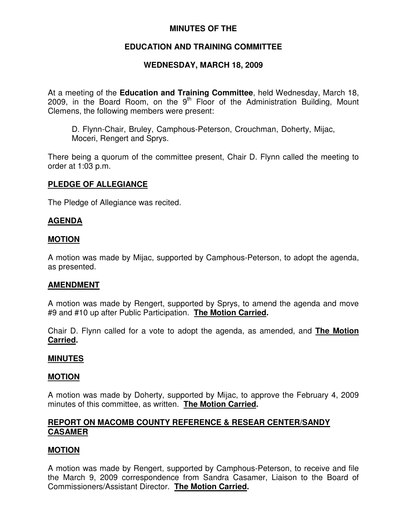# **MINUTES OF THE**

# **EDUCATION AND TRAINING COMMITTEE**

# **WEDNESDAY, MARCH 18, 2009**

At a meeting of the **Education and Training Committee**, held Wednesday, March 18, 2009, in the Board Room, on the  $9<sup>th</sup>$  Floor of the Administration Building, Mount Clemens, the following members were present:

D. Flynn-Chair, Bruley, Camphous-Peterson, Crouchman, Doherty, Mijac, Moceri, Rengert and Sprys.

There being a quorum of the committee present, Chair D. Flynn called the meeting to order at 1:03 p.m.

### **PLEDGE OF ALLEGIANCE**

The Pledge of Allegiance was recited.

# **AGENDA**

#### **MOTION**

A motion was made by Mijac, supported by Camphous-Peterson, to adopt the agenda, as presented.

#### **AMENDMENT**

A motion was made by Rengert, supported by Sprys, to amend the agenda and move #9 and #10 up after Public Participation. **The Motion Carried.**

Chair D. Flynn called for a vote to adopt the agenda, as amended, and **The Motion Carried.**

#### **MINUTES**

#### **MOTION**

A motion was made by Doherty, supported by Mijac, to approve the February 4, 2009 minutes of this committee, as written. **The Motion Carried.**

### **REPORT ON MACOMB COUNTY REFERENCE & RESEAR CENTER/SANDY CASAMER**

#### **MOTION**

A motion was made by Rengert, supported by Camphous-Peterson, to receive and file the March 9, 2009 correspondence from Sandra Casamer, Liaison to the Board of Commissioners/Assistant Director. **The Motion Carried.**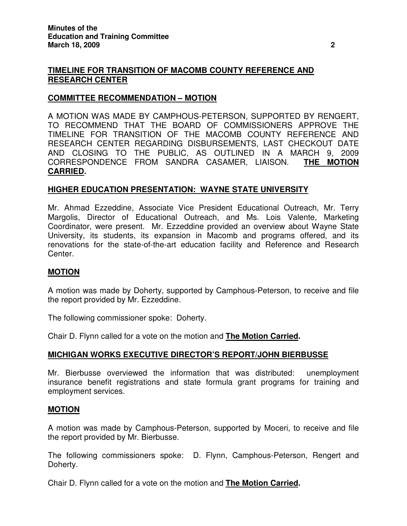### **TIMELINE FOR TRANSITION OF MACOMB COUNTY REFERENCE AND RESEARCH CENTER**

### **COMMITTEE RECOMMENDATION – MOTION**

A MOTION WAS MADE BY CAMPHOUS-PETERSON, SUPPORTED BY RENGERT, TO RECOMMEND THAT THE BOARD OF COMMISSIONERS APPROVE THE TIMELINE FOR TRANSITION OF THE MACOMB COUNTY REFERENCE AND RESEARCH CENTER REGARDING DISBURSEMENTS, LAST CHECKOUT DATE AND CLOSING TO THE PUBLIC, AS OUTLINED IN A MARCH 9, 2009 CORRESPONDENCE FROM SANDRA CASAMER, LIAISON. **THE MOTION CARRIED.**

### **HIGHER EDUCATION PRESENTATION: WAYNE STATE UNIVERSITY**

Mr. Ahmad Ezzeddine, Associate Vice President Educational Outreach, Mr. Terry Margolis, Director of Educational Outreach, and Ms. Lois Valente, Marketing Coordinator, were present. Mr. Ezzeddine provided an overview about Wayne State University, its students, its expansion in Macomb and programs offered, and its renovations for the state-of-the-art education facility and Reference and Research Center.

#### **MOTION**

A motion was made by Doherty, supported by Camphous-Peterson, to receive and file the report provided by Mr. Ezzeddine.

The following commissioner spoke: Doherty.

Chair D. Flynn called for a vote on the motion and **The Motion Carried.**

# **MICHIGAN WORKS EXECUTIVE DIRECTOR'S REPORT/JOHN BIERBUSSE**

Mr. Bierbusse overviewed the information that was distributed: unemployment insurance benefit registrations and state formula grant programs for training and employment services.

#### **MOTION**

A motion was made by Camphous-Peterson, supported by Moceri, to receive and file the report provided by Mr. Bierbusse.

The following commissioners spoke: D. Flynn, Camphous-Peterson, Rengert and Doherty.

Chair D. Flynn called for a vote on the motion and **The Motion Carried.**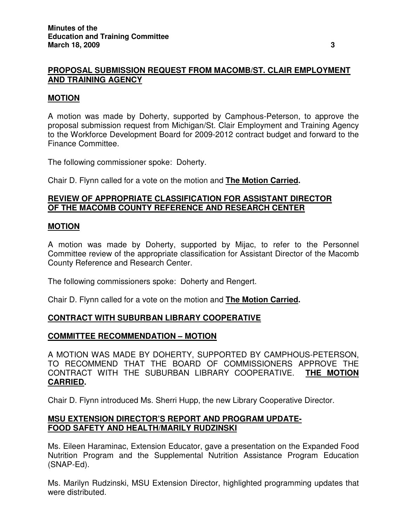# **PROPOSAL SUBMISSION REQUEST FROM MACOMB/ST. CLAIR EMPLOYMENT AND TRAINING AGENCY**

### **MOTION**

A motion was made by Doherty, supported by Camphous-Peterson, to approve the proposal submission request from Michigan/St. Clair Employment and Training Agency to the Workforce Development Board for 2009-2012 contract budget and forward to the Finance Committee.

The following commissioner spoke: Doherty.

Chair D. Flynn called for a vote on the motion and **The Motion Carried.**

### **REVIEW OF APPROPRIATE CLASSIFICATION FOR ASSISTANT DIRECTOR OF THE MACOMB COUNTY REFERENCE AND RESEARCH CENTER**

#### **MOTION**

A motion was made by Doherty, supported by Mijac, to refer to the Personnel Committee review of the appropriate classification for Assistant Director of the Macomb County Reference and Research Center.

The following commissioners spoke: Doherty and Rengert.

Chair D. Flynn called for a vote on the motion and **The Motion Carried.**

#### **CONTRACT WITH SUBURBAN LIBRARY COOPERATIVE**

#### **COMMITTEE RECOMMENDATION – MOTION**

A MOTION WAS MADE BY DOHERTY, SUPPORTED BY CAMPHOUS-PETERSON, TO RECOMMEND THAT THE BOARD OF COMMISSIONERS APPROVE THE CONTRACT WITH THE SUBURBAN LIBRARY COOPERATIVE. **THE MOTION CARRIED.**

Chair D. Flynn introduced Ms. Sherri Hupp, the new Library Cooperative Director.

### **MSU EXTENSION DIRECTOR'S REPORT AND PROGRAM UPDATE-FOOD SAFETY AND HEALTH/MARILY RUDZINSKI**

Ms. Eileen Haraminac, Extension Educator, gave a presentation on the Expanded Food Nutrition Program and the Supplemental Nutrition Assistance Program Education (SNAP-Ed).

Ms. Marilyn Rudzinski, MSU Extension Director, highlighted programming updates that were distributed.